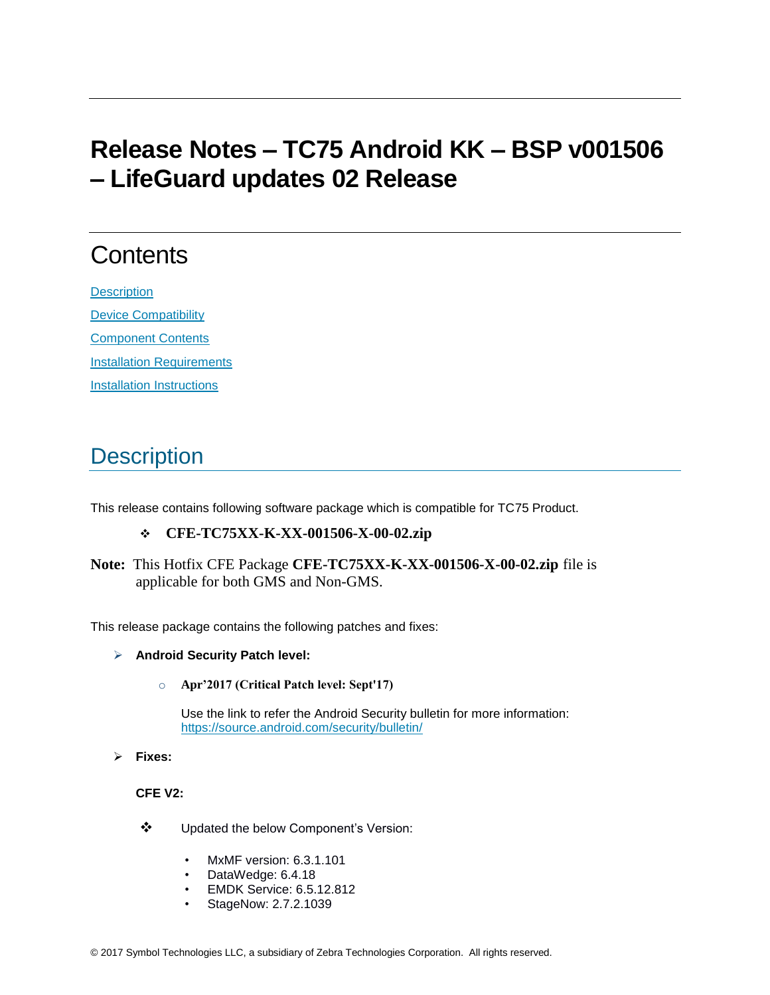# **Release Notes – TC75 Android KK – BSP v001506 – LifeGuard updates 02 Release**

# **Contents**

**[Description](#page-0-0)** [Device Compatibility](#page-1-0) [Component Contents](#page-2-0) [Installation Requirements](#page-2-1) **[Installation Instructions](#page-2-2)** 

## <span id="page-0-0"></span>**Description**

This release contains following software package which is compatible for TC75 Product.

#### ❖ **CFE-TC75XX-K-XX-001506-X-00-02.zip**

**Note:** This Hotfix CFE Package **CFE-TC75XX-K-XX-001506-X-00-02.zip** file is applicable for both GMS and Non-GMS.

This release package contains the following patches and fixes:

- ➢ **Android Security Patch level:** 
	- o **Apr'2017 (Critical Patch level: Sept'17)**

Use the link to refer the Android Security bulletin for more information: <https://source.android.com/security/bulletin/>

➢ **Fixes:**

#### **CFE V2:**

- ❖ Updated the below Component's Version:
	- MxMF version: 6.3.1.101
	- DataWedge: 6.4.18
	- EMDK Service: 6.5.12.812
	- StageNow: 2.7.2.1039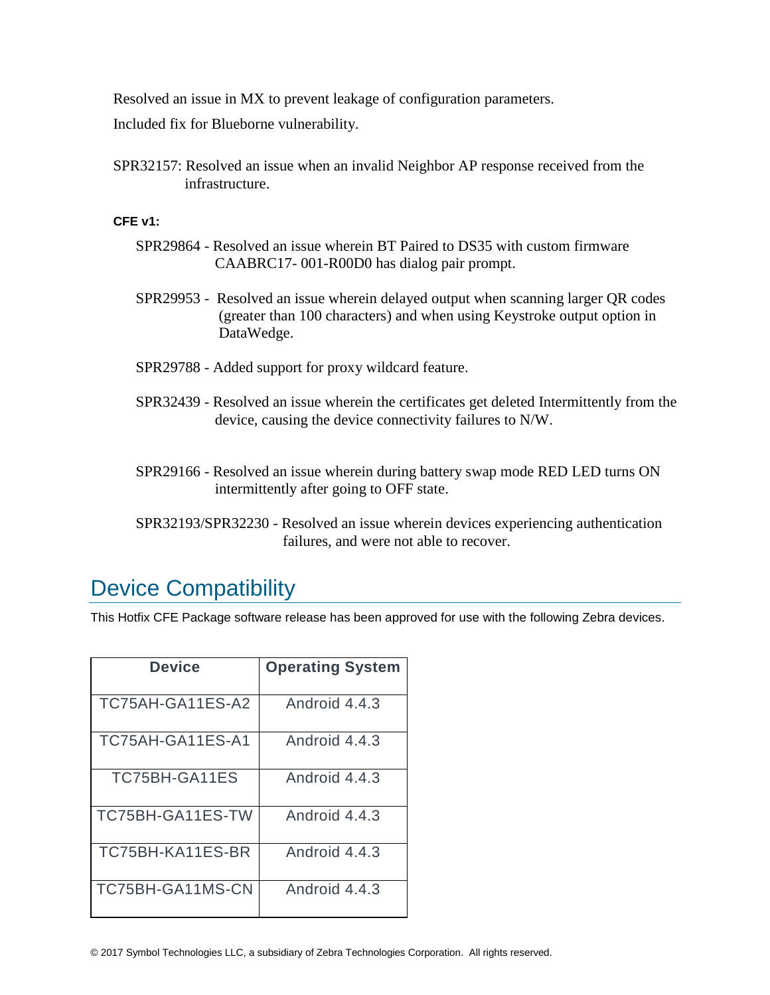Resolved an issue in MX to prevent leakage of configuration parameters.

Included fix for Blueborne vulnerability.

SPR32157: Resolved an issue when an invalid Neighbor AP response received from the infrastructure.

#### **CFE v1:**

- SPR29864 Resolved an issue wherein BT Paired to DS35 with custom firmware CAABRC17- 001-R00D0 has dialog pair prompt.
- SPR29953 Resolved an issue wherein delayed output when scanning larger QR codes (greater than 100 characters) and when using Keystroke output option in DataWedge.
- SPR29788 Added support for proxy wildcard feature.
- SPR32439 Resolved an issue wherein the certificates get deleted Intermittently from the device, causing the device connectivity failures to N/W.
- SPR29166 Resolved an issue wherein during battery swap mode RED LED turns ON intermittently after going to OFF state.
- SPR32193/SPR32230 Resolved an issue wherein devices experiencing authentication failures, and were not able to recover.

### <span id="page-1-0"></span>Device Compatibility

This Hotfix CFE Package software release has been approved for use with the following Zebra devices.

| Device           | <b>Operating System</b> |
|------------------|-------------------------|
| TC75AH-GA11ES-A2 | Android 4.4.3           |
| TC75AH-GA11ES-A1 | Android 4.4.3           |
| TC75BH-GA11ES    | Android 4.4.3           |
| TC75BH-GA11ES-TW | Android 4.4.3           |
| TC75BH-KA11ES-BR | Android 4.4.3           |
| TC75BH-GA11MS-CN | Android 4.4.3           |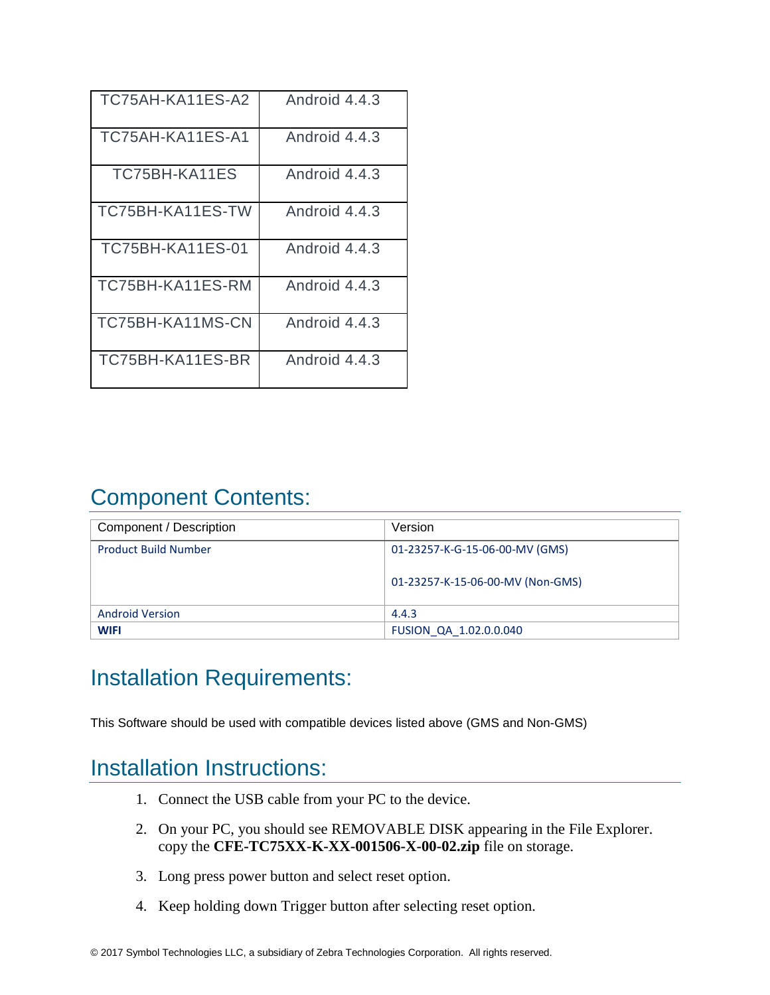| TC75AH-KA11ES-A2        | Android 4.4.3 |
|-------------------------|---------------|
| TC75AH-KA11ES-A1        | Android 4.4.3 |
| TC75BH-KA11ES           | Android 4.4.3 |
| TC75BH-KA11ES-TW        | Android 4.4.3 |
| <b>TC75BH-KA11ES-01</b> | Android 4.4.3 |
| TC75BH-KA11ES-RM        | Android 4.4.3 |
| TC75BH-KA11MS-CN        | Android 4.4.3 |
| TC75BH-KA11ES-BR        | Android 4.4.3 |

## <span id="page-2-0"></span>Component Contents:

| Component / Description     | Version                          |
|-----------------------------|----------------------------------|
| <b>Product Build Number</b> | 01-23257-K-G-15-06-00-MV (GMS)   |
|                             | 01-23257-K-15-06-00-MV (Non-GMS) |
| <b>Android Version</b>      | 4.4.3                            |
| <b>WIFI</b>                 | FUSION QA 1.02.0.0.040           |

### <span id="page-2-1"></span>Installation Requirements:

This Software should be used with compatible devices listed above (GMS and Non-GMS)

### <span id="page-2-2"></span>Installation Instructions:

- 1. Connect the USB cable from your PC to the device.
- 2. On your PC, you should see REMOVABLE DISK appearing in the File Explorer. copy the **CFE-TC75XX-K-XX-001506-X-00-02.zip** file on storage.
- 3. Long press power button and select reset option.
- 4. Keep holding down Trigger button after selecting reset option.